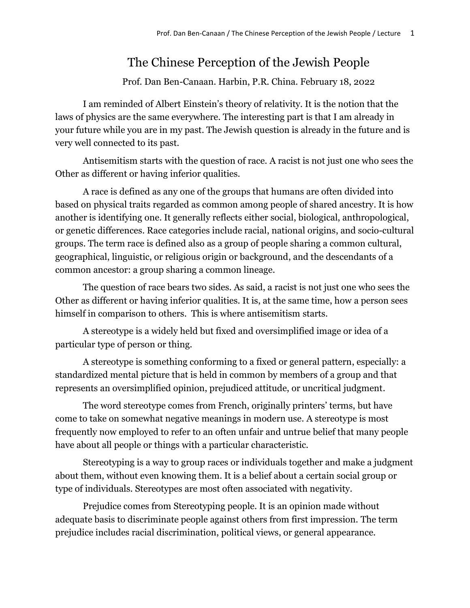# The Chinese Perception of the Jewish People

Prof. Dan Ben-Canaan. Harbin, P.R. China. February 18, 2022

I am reminded of Albert Einstein's theory of relativity. It is the notion that the laws of physics are the same everywhere. The interesting part is that I am already in your future while you are in my past. The Jewish question is already in the future and is very well connected to its past.

Antisemitism starts with the question of race. A racist is not just one who sees the Other as different or having inferior qualities.

A race is defined as any one of the groups that humans are often divided into based on physical traits regarded as common among people of shared ancestry. It is how another is identifying one. It generally reflects either social, biological, anthropological, or genetic differences. Race categories include racial, national origins, and socio-cultural groups. The term race is defined also as a group of people sharing a common cultural, geographical, linguistic, or religious origin or background, and the descendants of a common ancestor: a group sharing a common lineage.

The question of race bears two sides. As said, a racist is not just one who sees the Other as different or having inferior qualities. It is, at the same time, how a person sees himself in comparison to others. This is where antisemitism starts.

A stereotype is a widely held but fixed and oversimplified image or idea of a particular type of person or thing.

A stereotype is something conforming to a fixed or general pattern, especially: a standardized mental picture that is held in common by members of a group and that represents an oversimplified opinion, prejudiced attitude, or uncritical judgment.

The word stereotype comes from French, originally printers' terms, but have come to take on somewhat negative meanings in modern use. A stereotype is most frequently now employed to refer to an often unfair and untrue belief that many people have about all people or things with a particular characteristic.

Stereotyping is a way to group races or individuals together and make a judgment about them, without even knowing them. It is a belief about a certain social group or type of individuals. Stereotypes are most often associated with negativity.

Prejudice comes from Stereotyping people. It is an opinion made without adequate basis to discriminate people against others from first impression. The term prejudice includes racial discrimination, political views, or general appearance.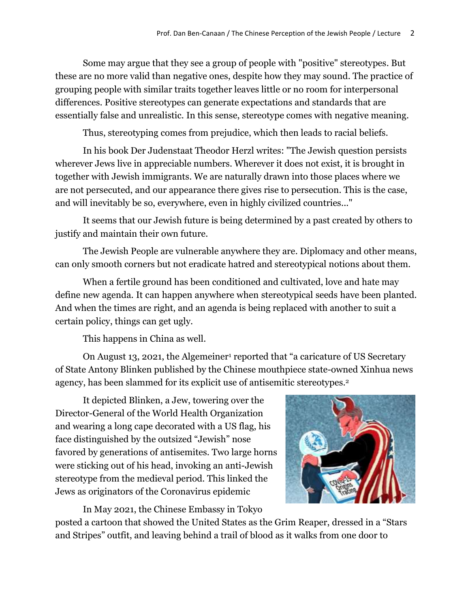Some may argue that they see a group of people with "positive" stereotypes. But these are no more valid than negative ones, despite how they may sound. The practice of grouping people with similar traits together leaves little or no room for interpersonal differences. Positive stereotypes can generate expectations and standards that are essentially false and unrealistic. In this sense, stereotype comes with negative meaning.

Thus, stereotyping comes from prejudice, which then leads to racial beliefs.

In his book Der Judenstaat Theodor Herzl writes: "The Jewish question persists wherever Jews live in appreciable numbers. Wherever it does not exist, it is brought in together with Jewish immigrants. We are naturally drawn into those places where we are not persecuted, and our appearance there gives rise to persecution. This is the case, and will inevitably be so, everywhere, even in highly civilized countries..."

It seems that our Jewish future is being determined by a past created by others to justify and maintain their own future.

The Jewish People are vulnerable anywhere they are. Diplomacy and other means, can only smooth corners but not eradicate hatred and stereotypical notions about them.

When a fertile ground has been conditioned and cultivated, love and hate may define new agenda. It can happen anywhere when stereotypical seeds have been planted. And when the times are right, and an agenda is being replaced with another to suit a certain policy, things can get ugly.

This happens in China as well.

On August 13, 2021, the Algemeiner<sup>1</sup> reported that "a caricature of US Secretary of State Antony Blinken published by the Chinese mouthpiece state-owned Xinhua news agency, has been slammed for its explicit use of antisemitic stereotypes.<sup>2</sup>

It depicted Blinken, a Jew, towering over the Director-General of the World Health Organization and wearing a long cape decorated with a US flag, his face distinguished by the outsized "Jewish" nose favored by generations of antisemites. Two large horns were sticking out of his head, invoking an anti-Jewish stereotype from the medieval period. This linked the Jews as originators of the Coronavirus epidemic

In May 2021, the Chinese Embassy in Tokyo

posted a cartoon that showed the United States as the Grim Reaper, dressed in a "Stars and Stripes" outfit, and leaving behind a trail of blood as it walks from one door to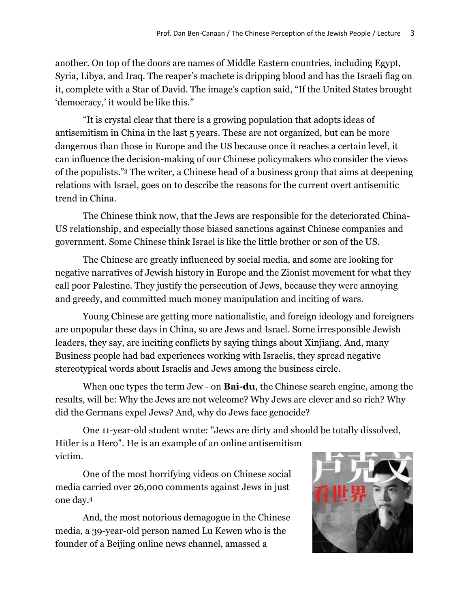another. On top of the doors are names of Middle Eastern countries, including Egypt, Syria, Libya, and Iraq. The reaper's machete is dripping blood and has the Israeli flag on it, complete with a Star of David. The image's caption said, "If the United States brought 'democracy,' it would be like this."

"It is crystal clear that there is a growing population that adopts ideas of antisemitism in China in the last 5 years. These are not organized, but can be more dangerous than those in Europe and the US because once it reaches a certain level, it can influence the decision-making of our Chinese policymakers who consider the views of the populists." <sup>3</sup> The writer, a Chinese head of a business group that aims at deepening relations with Israel, goes on to describe the reasons for the current overt antisemitic trend in China.

The Chinese think now, that the Jews are responsible for the deteriorated China-US relationship, and especially those biased sanctions against Chinese companies and government. Some Chinese think Israel is like the little brother or son of the US.

The Chinese are greatly influenced by social media, and some are looking for negative narratives of Jewish history in Europe and the Zionist movement for what they call poor Palestine. They justify the persecution of Jews, because they were annoying and greedy, and committed much money manipulation and inciting of wars.

Young Chinese are getting more nationalistic, and foreign ideology and foreigners are unpopular these days in China, so are Jews and Israel. Some irresponsible Jewish leaders, they say, are inciting conflicts by saying things about Xinjiang. And, many Business people had bad experiences working with Israelis, they spread negative stereotypical words about Israelis and Jews among the business circle.

When one types the term Jew - on **Bai-du**, the Chinese search engine, among the results, will be: Why the Jews are not welcome? Why Jews are clever and so rich? Why did the Germans expel Jews? And, why do Jews face genocide?

One 11-year-old student wrote: "Jews are dirty and should be totally dissolved, Hitler is a Hero". He is an example of an online antisemitism victim.

One of the most horrifying videos on Chinese social media carried over 26,000 comments against Jews in just one day. 4

And, the most notorious demagogue in the Chinese media, a 39-year-old person named Lu Kewen who is the founder of a Beijing online news channel, amassed a

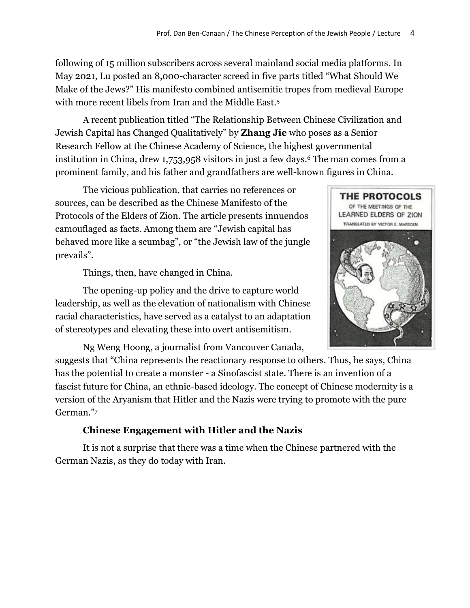following of 15 million subscribers across several mainland social media platforms. In May 2021, Lu posted an 8,000-character screed in five parts titled "What Should We Make of the Jews?" His manifesto combined antisemitic tropes from medieval Europe with more recent libels from Iran and the Middle East.<sup>5</sup>

A recent publication titled "The Relationship Between Chinese Civilization and Jewish Capital has Changed Qualitatively" by **Zhang Jie** who poses as a Senior Research Fellow at the Chinese Academy of Science, the highest governmental institution in China, drew 1,753,958 visitors in just a few days.<sup>6</sup> The man comes from a prominent family, and his father and grandfathers are well-known figures in China.

The vicious publication, that carries no references or sources, can be described as the Chinese Manifesto of the Protocols of the Elders of Zion. The article presents innuendos camouflaged as facts. Among them are "Jewish capital has behaved more like a scumbag", or "the Jewish law of the jungle prevails".

Things, then, have changed in China.

The opening-up policy and the drive to capture world leadership, as well as the elevation of nationalism with Chinese racial characteristics, have served as a catalyst to an adaptation of stereotypes and elevating these into overt antisemitism.

Ng Weng Hoong, a journalist from Vancouver Canada,

suggests that "China represents the reactionary response to others. Thus, he says, China has the potential to create a monster - a Sinofascist state. There is an invention of a fascist future for China, an ethnic-based ideology. The concept of Chinese modernity is a version of the Aryanism that Hitler and the Nazis were trying to promote with the pure German."<sup>7</sup>

# **Chinese Engagement with Hitler and the Nazis**

It is not a surprise that there was a time when the Chinese partnered with the German Nazis, as they do today with Iran.

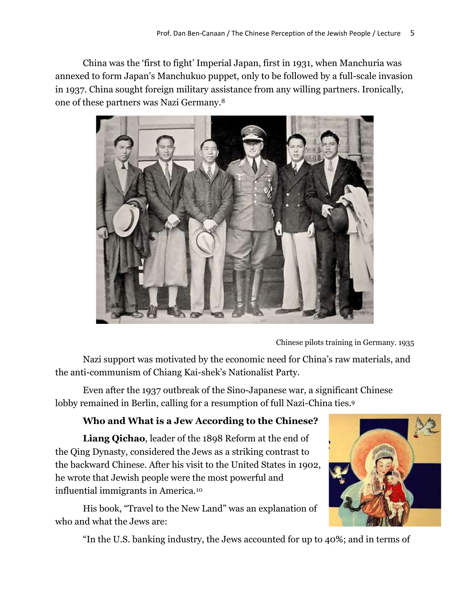China was the 'first to fight' Imperial Japan, first in 1931, when Manchuria was annexed to form Japan's Manchukuo puppet, only to be followed by a full-scale invasion in 1937. China sought foreign military assistance from any willing partners. Ironically, one of these partners was Nazi Germany. 8



Chinese pilots training in Germany. 1935

Nazi support was motivated by the economic need for China's raw materials, and the anti-communism of Chiang Kai-shek's Nationalist Party.

Even after the 1937 outbreak of the Sino-Japanese war, a significant Chinese lobby remained in Berlin, calling for a resumption of full Nazi-China ties. 9

# **Who and What is a Jew According to the Chinese?**

**Liang Qichao**, leader of the 1898 Reform at the end of the Qing Dynasty, considered the Jews as a striking contrast to the backward Chinese. After his visit to the United States in 1902, he wrote that Jewish people were the most powerful and influential immigrants in America.<sup>10</sup>

His book, "Travel to the New Land" was an explanation of who and what the Jews are:



"In the U.S. banking industry, the Jews accounted for up to 40%; and in terms of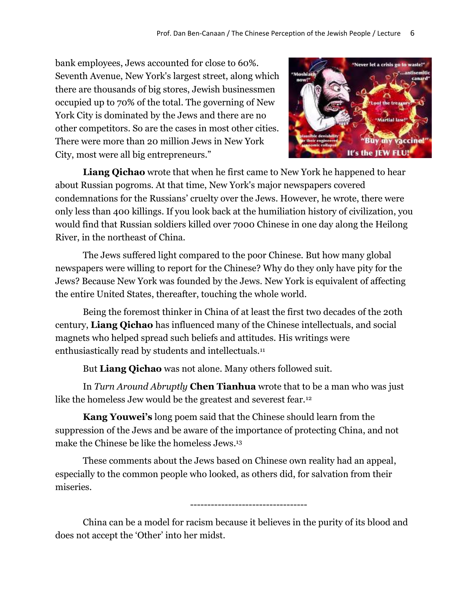bank employees, Jews accounted for close to 60%. Seventh Avenue, New York's largest street, along which there are thousands of big stores, Jewish businessmen occupied up to 70% of the total. The governing of New York City is dominated by the Jews and there are no other competitors. So are the cases in most other cities. There were more than 20 million Jews in New York City, most were all big entrepreneurs."



**Liang Qichao** wrote that when he first came to New York he happened to hear about Russian pogroms. At that time, New York's major newspapers covered condemnations for the Russians' cruelty over the Jews. However, he wrote, there were only less than 400 killings. If you look back at the humiliation history of civilization, you would find that Russian soldiers killed over 7000 Chinese in one day along the Heilong River, in the northeast of China.

The Jews suffered light compared to the poor Chinese. But how many global newspapers were willing to report for the Chinese? Why do they only have pity for the Jews? Because New York was founded by the Jews. New York is equivalent of affecting the entire United States, thereafter, touching the whole world.

Being the foremost thinker in China of at least the first two decades of the 20th century, **Liang Qichao** has influenced many of the Chinese intellectuals, and social magnets who helped spread such beliefs and attitudes. His writings were enthusiastically read by students and intellectuals.<sup>11</sup>

But **Liang Qichao** was not alone. Many others followed suit.

In *Turn Around Abruptly* **Chen Tianhua** wrote that to be a man who was just like the homeless Jew would be the greatest and severest fear.<sup>12</sup>

**Kang Youwei's** long poem said that the Chinese should learn from the suppression of the Jews and be aware of the importance of protecting China, and not make the Chinese be like the homeless Jews. 13

These comments about the Jews based on Chinese own reality had an appeal, especially to the common people who looked, as others did, for salvation from their miseries.

----------------------------------

China can be a model for racism because it believes in the purity of its blood and does not accept the 'Other' into her midst.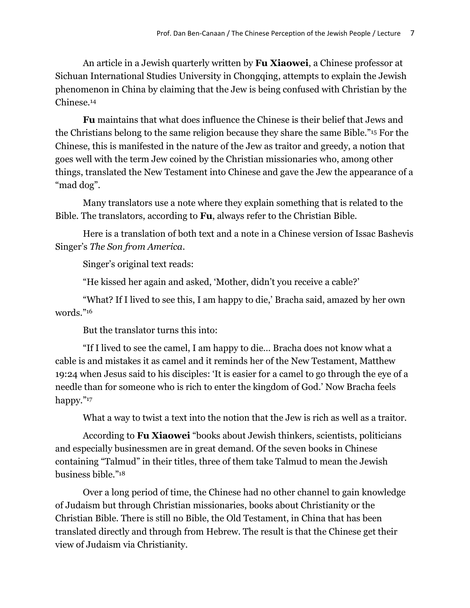An article in a Jewish quarterly written by **Fu Xiaowei**, a Chinese professor at Sichuan International Studies University in Chongqing, attempts to explain the Jewish phenomenon in China by claiming that the Jew is being confused with Christian by the Chinese.<sup>14</sup>

**Fu** maintains that what does influence the Chinese is their belief that Jews and the Christians belong to the same religion because they share the same Bible."<sup>15</sup> For the Chinese, this is manifested in the nature of the Jew as traitor and greedy, a notion that goes well with the term Jew coined by the Christian missionaries who, among other things, translated the New Testament into Chinese and gave the Jew the appearance of a "mad dog".

Many translators use a note where they explain something that is related to the Bible. The translators, according to **Fu**, always refer to the Christian Bible.

Here is a translation of both text and a note in a Chinese version of Issac Bashevis Singer's *The Son from America*.

Singer's original text reads:

"He kissed her again and asked, 'Mother, didn't you receive a cable?'

"What? If I lived to see this, I am happy to die,' Bracha said, amazed by her own words."<sup>16</sup>

But the translator turns this into:

"If I lived to see the camel, I am happy to die… Bracha does not know what a cable is and mistakes it as camel and it reminds her of the New Testament, Matthew 19:24 when Jesus said to his disciples: 'It is easier for a camel to go through the eye of a needle than for someone who is rich to enter the kingdom of God.' Now Bracha feels happy."<sup>17</sup>

What a way to twist a text into the notion that the Jew is rich as well as a traitor.

According to **Fu Xiaowei** "books about Jewish thinkers, scientists, politicians and especially businessmen are in great demand. Of the seven books in Chinese containing "Talmud" in their titles, three of them take Talmud to mean the Jewish business bible."<sup>18</sup>

Over a long period of time, the Chinese had no other channel to gain knowledge of Judaism but through Christian missionaries, books about Christianity or the Christian Bible. There is still no Bible, the Old Testament, in China that has been translated directly and through from Hebrew. The result is that the Chinese get their view of Judaism via Christianity.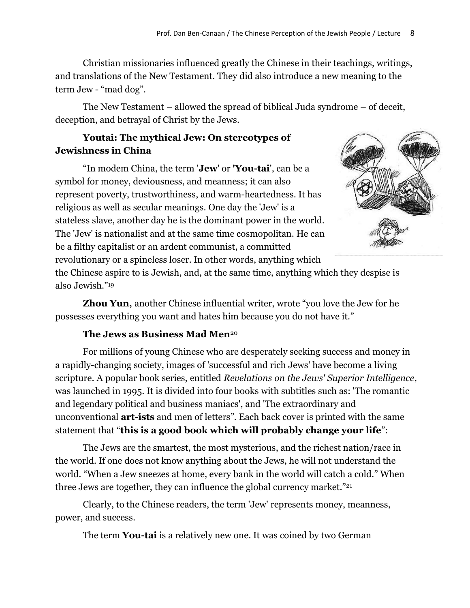Christian missionaries influenced greatly the Chinese in their teachings, writings, and translations of the New Testament. They did also introduce a new meaning to the term Jew - "mad dog".

The New Testament – allowed the spread of biblical Juda syndrome – of deceit, deception, and betrayal of Christ by the Jews.

# **Youtai: The mythical Jew: On stereotypes of Jewishness in China**

"In modem China, the term '**Jew**' or **'You-tai**', can be a symbol for money, deviousness, and meanness; it can also represent poverty, trustworthiness, and warm-heartedness. It has religious as well as secular meanings. One day the 'Jew' is a stateless slave, another day he is the dominant power in the world. The 'Jew' is nationalist and at the same time cosmopolitan. He can be a filthy capitalist or an ardent communist, a committed revolutionary or a spineless loser. In other words, anything which



the Chinese aspire to is Jewish, and, at the same time, anything which they despise is also Jewish."<sup>19</sup>

**Zhou Yun,** another Chinese influential writer, wrote "you love the Jew for he possesses everything you want and hates him because you do not have it."

## **The Jews as Business Mad Men**<sup>20</sup>

For millions of young Chinese who are desperately seeking success and money in a rapidly-changing society, images of 'successful and rich Jews' have become a living scripture. A popular book series, entitled *Revelations on the Jews' Superior Intelligence*, was launched in 1995. It is divided into four books with subtitles such as: 'The romantic and legendary political and business maniacs', and 'The extraordinary and unconventional **art-ists** and men of letters". Each back cover is printed with the same statement that "**this is a good book which will probably change your life**":

The Jews are the smartest, the most mysterious, and the richest nation/race in the world. If one does not know anything about the Jews, he will not understand the world. "When a Jew sneezes at home, every bank in the world will catch a cold." When three Jews are together, they can influence the global currency market."<sup>21</sup>

Clearly, to the Chinese readers, the term 'Jew' represents money, meanness, power, and success.

The term **You-tai** is a relatively new one. It was coined by two German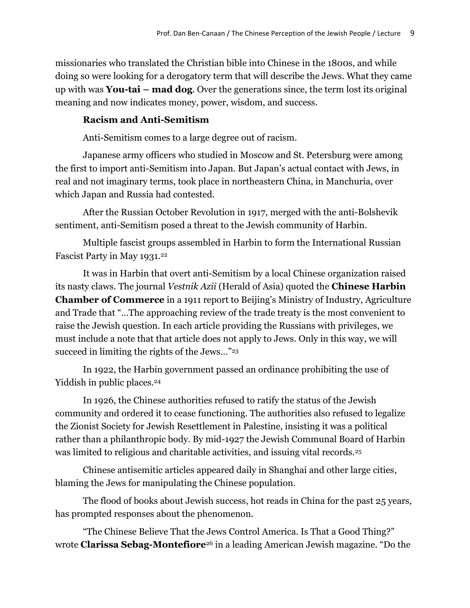missionaries who translated the Christian bible into Chinese in the 1800s, and while doing so were looking for a derogatory term that will describe the Jews. What they came up with was **You-tai – mad dog**. Over the generations since, the term lost its original meaning and now indicates money, power, wisdom, and success.

## **Racism and Anti-Semitism**

Anti-Semitism comes to a large degree out of racism.

Japanese army officers who studied in Moscow and St. Petersburg were among the first to import anti-Semitism into Japan. But Japan's actual contact with Jews, in real and not imaginary terms, took place in northeastern China, in Manchuria, over which Japan and Russia had contested.

After the Russian October Revolution in 1917, merged with the anti-Bolshevik sentiment, anti-Semitism posed a threat to the Jewish community of Harbin.

Multiple fascist groups assembled in Harbin to form the International Russian Fascist Party in May 1931.<sup>22</sup>

It was in Harbin that overt anti-Semitism by a local Chinese organization raised its nasty claws. The journal *Vestnik Azii* (Herald of Asia) quoted the **Chinese Harbin Chamber of Commerce** in a 1911 report to Beijing's Ministry of Industry, Agriculture and Trade that "…The approaching review of the trade treaty is the most convenient to raise the Jewish question. In each article providing the Russians with privileges, we must include a note that that article does not apply to Jews. Only in this way, we will succeed in limiting the rights of the Jews…"<sup>23</sup>

In 1922, the Harbin government passed an ordinance prohibiting the use of Yiddish in public places.<sup>24</sup>

In 1926, the Chinese authorities refused to ratify the status of the Jewish community and ordered it to cease functioning. The authorities also refused to legalize the Zionist Society for Jewish Resettlement in Palestine, insisting it was a political rather than a philanthropic body. By mid-1927 the Jewish Communal Board of Harbin was limited to religious and charitable activities, and issuing vital records.<sup>25</sup>

Chinese antisemitic articles appeared daily in Shanghai and other large cities, blaming the Jews for manipulating the Chinese population.

The flood of books about Jewish success, hot reads in China for the past 25 years, has prompted responses about the phenomenon.

"The Chinese Believe That the Jews Control America. Is That a Good Thing?" wrote **Clarissa Sebag-Montefiore**<sup>26</sup> in a leading American Jewish magazine. "Do the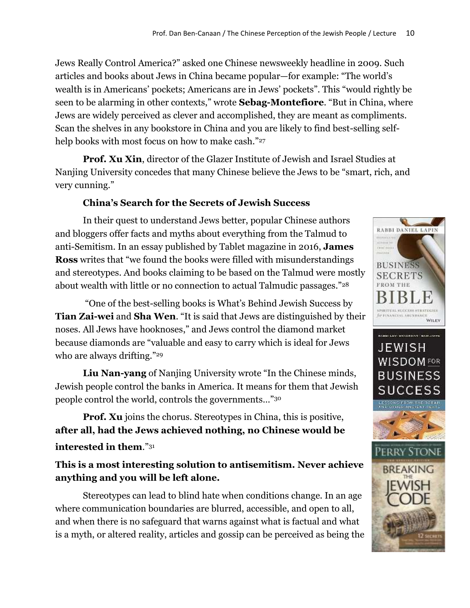Jews Really Control America?" asked one Chinese newsweekly headline in 2009. Such articles and books about Jews in China became popular—for example: "The world's wealth is in Americans' pockets; Americans are in Jews' pockets". This "would rightly be seen to be alarming in other contexts," wrote **Sebag-Montefiore**. "But in China, where Jews are widely perceived as clever and accomplished, they are meant as compliments. Scan the shelves in any bookstore in China and you are likely to find best-selling selfhelp books with most focus on how to make cash."27

**Prof. Xu Xin**, director of the Glazer Institute of Jewish and Israel Studies at Nanjing University concedes that many Chinese believe the Jews to be "smart, rich, and very cunning."

# **China's Search for the Secrets of Jewish Success**

In their quest to understand Jews better, popular Chinese authors and bloggers offer facts and myths about everything from the Talmud to anti-Semitism. In an essay published by Tablet magazine in 2016, **James Ross** writes that "we found the books were filled with misunderstandings and stereotypes. And books claiming to be based on the Talmud were mostly about wealth with little or no connection to actual Talmudic passages."<sup>28</sup>

"One of the best-selling books is What's Behind Jewish Success by **Tian Zai-wei** and **Sha Wen**. "It is said that Jews are distinguished by their noses. All Jews have hooknoses," and Jews control the diamond market because diamonds are "valuable and easy to carry which is ideal for Jews who are always drifting."<sup>29</sup>

**Liu Nan-yang** of Nanjing University wrote "In the Chinese minds, Jewish people control the banks in America. It means for them that Jewish people control the world, controls the governments…"<sup>30</sup>

**Prof. Xu** joins the chorus. Stereotypes in China, this is positive, **after all, had the Jews achieved nothing, no Chinese would be interested in them**."<sup>31</sup>

**This is a most interesting solution to antisemitism. Never achieve anything and you will be left alone.**

Stereotypes can lead to blind hate when conditions change. In an age where communication boundaries are blurred, accessible, and open to all, and when there is no safeguard that warns against what is factual and what is a myth, or altered reality, articles and gossip can be perceived as being the

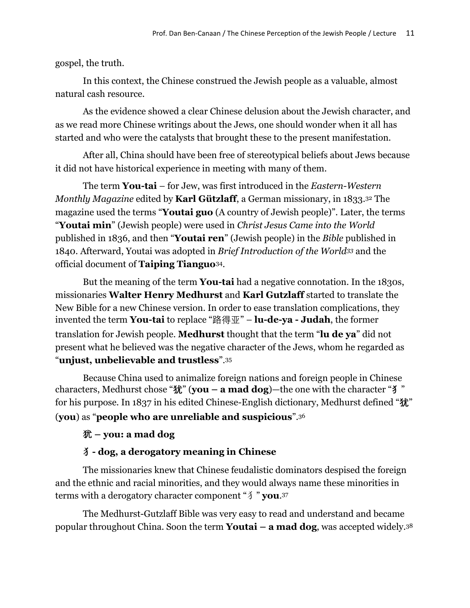gospel, the truth.

In this context, the Chinese construed the Jewish people as a valuable, almost natural cash resource.

As the evidence showed a clear Chinese delusion about the Jewish character, and as we read more Chinese writings about the Jews, one should wonder when it all has started and who were the catalysts that brought these to the present manifestation.

After all, China should have been free of stereotypical beliefs about Jews because it did not have historical experience in meeting with many of them.

The term **You-tai** – for Jew, was first introduced in the *Eastern-Western Monthly Magazine* edited by **Karl Gützlaff**, a German missionary, in 1833.<sup>32</sup> The magazine used the terms "**Youtai guo** (A country of Jewish people)". Later, the terms "**Youtai min**" (Jewish people) were used in *Christ Jesus Came into the World* published in 1836, and then "**Youtai ren**" (Jewish people) in the *Bible* published in 1840. Afterward, Youtai was adopted in *Brief Introduction of the World<sup>33</sup>* and the official document of **Taiping Tianguo**34.

But the meaning of the term **You-tai** had a negative connotation. In the 1830s, missionaries **Walter Henry Medhurst** and **Karl Gutzlaff** started to translate the New Bible for a new Chinese version. In order to ease translation complications, they invented the term **You-tai** to replace "路得亚" – **lu-de-ya - Judah**, the former translation for Jewish people. **Medhurst** thought that the term "**lu de ya**" did not present what he believed was the negative character of the Jews, whom he regarded as "**unjust, unbelievable and trustless**".<sup>35</sup>

Because China used to animalize foreign nations and foreign people in Chinese characters, Medhurst chose "**犹**" (**you – a mad dog**)—the one with the character "**犭**" for his purpose. In 1837 in his edited Chinese-English dictionary, Medhurst defined "**犹**" (**you**) as "**people who are unreliable and suspicious**".<sup>36</sup>

## 犹 **– you: a mad dog**

### 犭**- dog, a derogatory meaning in Chinese**

The missionaries knew that Chinese feudalistic dominators despised the foreign and the ethnic and racial minorities, and they would always name these minorities in terms with a derogatory character component "犭" **you**.37

The Medhurst-Gutzlaff Bible was very easy to read and understand and became popular throughout China. Soon the term **Youtai – a mad dog**, was accepted widely. 38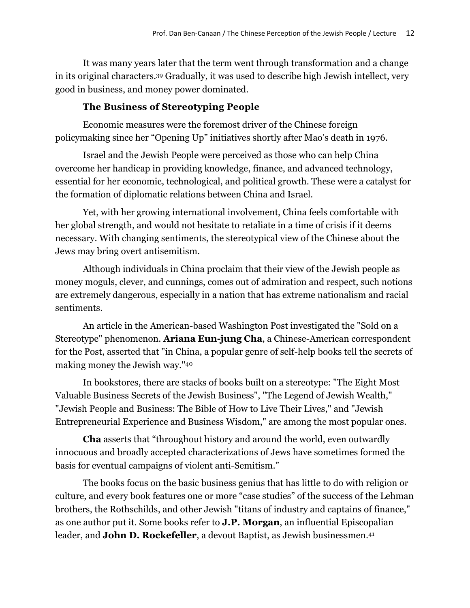It was many years later that the term went through transformation and a change in its original characters.<sup>39</sup> Gradually, it was used to describe high Jewish intellect, very good in business, and money power dominated.

## **The Business of Stereotyping People**

Economic measures were the foremost driver of the Chinese foreign policymaking since her "Opening Up" initiatives shortly after Mao's death in 1976.

Israel and the Jewish People were perceived as those who can help China overcome her handicap in providing knowledge, finance, and advanced technology, essential for her economic, technological, and political growth. These were a catalyst for the formation of diplomatic relations between China and Israel.

Yet, with her growing international involvement, China feels comfortable with her global strength, and would not hesitate to retaliate in a time of crisis if it deems necessary. With changing sentiments, the stereotypical view of the Chinese about the Jews may bring overt antisemitism.

Although individuals in China proclaim that their view of the Jewish people as money moguls, clever, and cunnings, comes out of admiration and respect, such notions are extremely dangerous, especially in a nation that has extreme nationalism and racial sentiments.

An article in the American-based Washington Post investigated the "Sold on a Stereotype" phenomenon. **Ariana Eun-jung Cha**, a Chinese-American correspondent for the Post, asserted that "in China, a popular genre of self-help books tell the secrets of making money the Jewish way."<sup>40</sup>

In bookstores, there are stacks of books built on a stereotype: "The Eight Most Valuable Business Secrets of the Jewish Business", "The Legend of Jewish Wealth," "Jewish People and Business: The Bible of How to Live Their Lives," and "Jewish Entrepreneurial Experience and Business Wisdom," are among the most popular ones.

**Cha** asserts that "throughout history and around the world, even outwardly innocuous and broadly accepted characterizations of Jews have sometimes formed the basis for eventual campaigns of violent anti-Semitism."

The books focus on the basic business genius that has little to do with religion or culture, and every book features one or more "case studies" of the success of the Lehman brothers, the Rothschilds, and other Jewish "titans of industry and captains of finance," as one author put it. Some books refer to **J.P. Morgan**, an influential Episcopalian leader, and **John D. Rockefeller**, a devout Baptist, as Jewish businessmen.<sup>41</sup>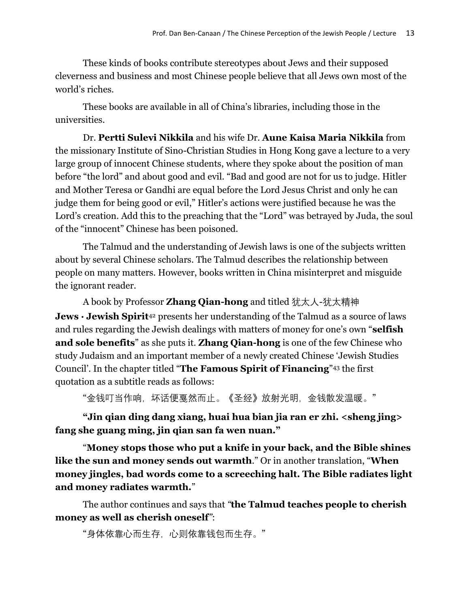These kinds of books contribute stereotypes about Jews and their supposed cleverness and business and most Chinese people believe that all Jews own most of the world's riches.

These books are available in all of China's libraries, including those in the universities.

Dr. **Pertti Sulevi Nikkila** and his wife Dr. **Aune Kaisa Maria Nikkila** from the missionary Institute of Sino-Christian Studies in Hong Kong gave a lecture to a very large group of innocent Chinese students, where they spoke about the position of man before "the lord" and about good and evil. "Bad and good are not for us to judge. Hitler and Mother Teresa or Gandhi are equal before the Lord Jesus Christ and only he can judge them for being good or evil," Hitler's actions were justified because he was the Lord's creation. Add this to the preaching that the "Lord" was betrayed by Juda, the soul of the "innocent" Chinese has been poisoned.

The Talmud and the understanding of Jewish laws is one of the subjects written about by several Chinese scholars. The Talmud describes the relationship between people on many matters. However, books written in China misinterpret and misguide the ignorant reader.

A book by Professor **Zhang Qian-hong** and titled 犹太人-犹太精神 **Jews · Jewish Spirit**<sup>42</sup> presents her understanding of the Talmud as a source of laws and rules regarding the Jewish dealings with matters of money for one's own "**selfish and sole benefits**" as she puts it. **Zhang Qian-hong** is one of the few Chinese who study Judaism and an important member of a newly created Chinese 'Jewish Studies Council'. In the chapter titled "**The Famous Spirit of Financing**" <sup>43</sup> the first quotation as a subtitle reads as follows:

"金钱叮当作响,坏话便戛然而止。《圣经》放射光明,金钱散发温暖。"

**"Jin qian ding dang xiang, huai hua bian jia ran er zhi. <sheng jing> fang she guang ming, jin qian san fa wen nuan."**

"**Money stops those who put a knife in your back, and the Bible shines like the sun and money sends out warmth**." Or in another translation, "**When money jingles, bad words come to a screeching halt. The Bible radiates light and money radiates warmth.**"

The author continues and says that *"***the Talmud teaches people to cherish money as well as cherish oneself***"*:

"身体依靠心而生存,心则依靠钱包而生存。"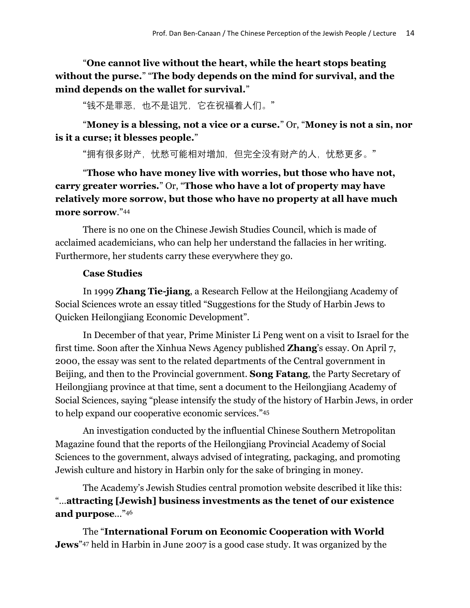"**One cannot live without the heart, while the heart stops beating without the purse.**" "**The body depends on the mind for survival, and the mind depends on the wallet for survival.**"

"钱不是罪恶,也不是诅咒,它在祝福着人们。"

"**Money is a blessing, not a vice or a curse.**" Or, "**Money is not a sin, nor is it a curse; it blesses people.**"

"拥有很多财产,忧愁可能相对增加,但完全没有财产的人,忧愁更多。"

"**Those who have money live with worries, but those who have not, carry greater worries.**" Or, "**Those who have a lot of property may have relatively more sorrow, but those who have no property at all have much more sorrow**."<sup>44</sup>

There is no one on the Chinese Jewish Studies Council, which is made of acclaimed academicians, who can help her understand the fallacies in her writing. Furthermore, her students carry these everywhere they go.

## **Case Studies**

In 1999 **Zhang Tie-jiang**, a Research Fellow at the Heilongjiang Academy of Social Sciences wrote an essay titled "Suggestions for the Study of Harbin Jews to Quicken Heilongjiang Economic Development".

In December of that year, Prime Minister Li Peng went on a visit to Israel for the first time. Soon after the Xinhua News Agency published **Zhang**'s essay. On April 7, 2000, the essay was sent to the related departments of the Central government in Beijing, and then to the Provincial government. **Song Fatang**, the Party Secretary of Heilongjiang province at that time, sent a document to the Heilongjiang Academy of Social Sciences, saying "please intensify the study of the history of Harbin Jews, in order to help expand our cooperative economic services." 45

An investigation conducted by the influential Chinese Southern Metropolitan Magazine found that the reports of the Heilongjiang Provincial Academy of Social Sciences to the government, always advised of integrating, packaging, and promoting Jewish culture and history in Harbin only for the sake of bringing in money.

The Academy's Jewish Studies central promotion website described it like this: "…**attracting [Jewish] business investments as the tenet of our existence and purpose**..."<sup>46</sup>

The "**International Forum on Economic Cooperation with World Jews**" <sup>47</sup> held in Harbin in June 2007 is a good case study. It was organized by the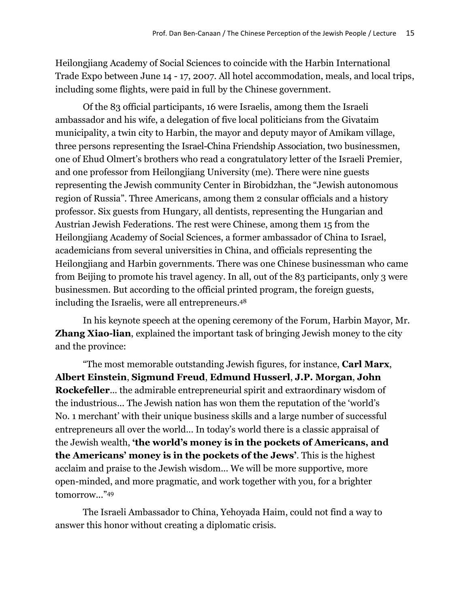Heilongjiang Academy of Social Sciences to coincide with the Harbin International Trade Expo between June 14 - 17, 2007. All hotel accommodation, meals, and local trips, including some flights, were paid in full by the Chinese government.

Of the 83 official participants, 16 were Israelis, among them the Israeli ambassador and his wife, a delegation of five local politicians from the Givataim municipality, a twin city to Harbin, the mayor and deputy mayor of Amikam village, three persons representing the Israel-China Friendship Association, two businessmen, one of Ehud Olmert's brothers who read a congratulatory letter of the Israeli Premier, and one professor from Heilongjiang University (me). There were nine guests representing the Jewish community Center in Birobidzhan, the "Jewish autonomous region of Russia". Three Americans, among them 2 consular officials and a history professor. Six guests from Hungary, all dentists, representing the Hungarian and Austrian Jewish Federations. The rest were Chinese, among them 15 from the Heilongjiang Academy of Social Sciences, a former ambassador of China to Israel, academicians from several universities in China, and officials representing the Heilongjiang and Harbin governments. There was one Chinese businessman who came from Beijing to promote his travel agency. In all, out of the 83 participants, only 3 were businessmen. But according to the official printed program, the foreign guests, including the Israelis, were all entrepreneurs.<sup>48</sup>

In his keynote speech at the opening ceremony of the Forum, Harbin Mayor, Mr. **Zhang Xiao-lian**, explained the important task of bringing Jewish money to the city and the province:

"The most memorable outstanding Jewish figures, for instance, **Carl Marx**, **Albert Einstein**, **Sigmund Freud**, **Edmund Husserl**, **J.P. Morgan**, **John Rockefeller**... the admirable entrepreneurial spirit and extraordinary wisdom of the industrious... The Jewish nation has won them the reputation of the 'world's No. 1 merchant' with their unique business skills and a large number of successful entrepreneurs all over the world... In today's world there is a classic appraisal of the Jewish wealth, **'the world's money is in the pockets of Americans, and the Americans' money is in the pockets of the Jews'**. This is the highest acclaim and praise to the Jewish wisdom... We will be more supportive, more open-minded, and more pragmatic, and work together with you, for a brighter tomorrow..."<sup>49</sup>

The Israeli Ambassador to China, Yehoyada Haim, could not find a way to answer this honor without creating a diplomatic crisis.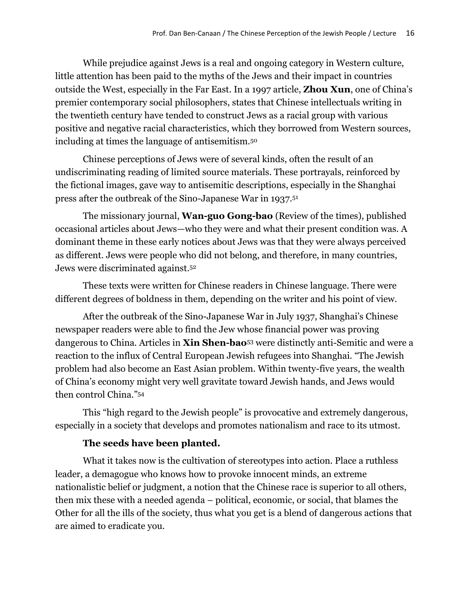While prejudice against Jews is a real and ongoing category in Western culture, little attention has been paid to the myths of the Jews and their impact in countries outside the West, especially in the Far East. In a 1997 article, **Zhou Xun**, one of China's premier contemporary social philosophers, states that Chinese intellectuals writing in the twentieth century have tended to construct Jews as a racial group with various positive and negative racial characteristics, which they borrowed from Western sources, including at times the language of antisemitism.<sup>50</sup>

Chinese perceptions of Jews were of several kinds, often the result of an undiscriminating reading of limited source materials. These portrayals, reinforced by the fictional images, gave way to antisemitic descriptions, especially in the Shanghai press after the outbreak of the Sino-Japanese War in 1937.<sup>51</sup>

The missionary journal, **Wan-guo Gong-bao** (Review of the times), published occasional articles about Jews—who they were and what their present condition was. A dominant theme in these early notices about Jews was that they were always perceived as different. Jews were people who did not belong, and therefore, in many countries, Jews were discriminated against.<sup>52</sup>

These texts were written for Chinese readers in Chinese language. There were different degrees of boldness in them, depending on the writer and his point of view.

After the outbreak of the Sino-Japanese War in July 1937, Shanghai's Chinese newspaper readers were able to find the Jew whose financial power was proving dangerous to China. Articles in **Xin Shen-bao**<sup>53</sup> were distinctly anti-Semitic and were a reaction to the influx of Central European Jewish refugees into Shanghai. "The Jewish problem had also become an East Asian problem. Within twenty-five years, the wealth of China's economy might very well gravitate toward Jewish hands, and Jews would then control China." 54

This "high regard to the Jewish people" is provocative and extremely dangerous, especially in a society that develops and promotes nationalism and race to its utmost.

### **The seeds have been planted.**

What it takes now is the cultivation of stereotypes into action. Place a ruthless leader, a demagogue who knows how to provoke innocent minds, an extreme nationalistic belief or judgment, a notion that the Chinese race is superior to all others, then mix these with a needed agenda – political, economic, or social, that blames the Other for all the ills of the society, thus what you get is a blend of dangerous actions that are aimed to eradicate you.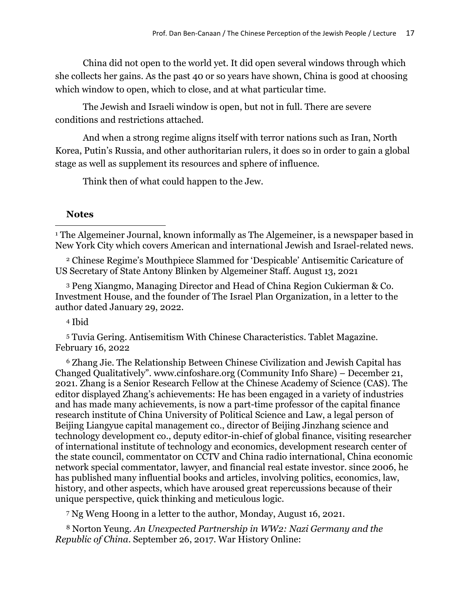China did not open to the world yet. It did open several windows through which she collects her gains. As the past 40 or so years have shown, China is good at choosing which window to open, which to close, and at what particular time.

The Jewish and Israeli window is open, but not in full. There are severe conditions and restrictions attached.

And when a strong regime aligns itself with terror nations such as Iran, North Korea, Putin's Russia, and other authoritarian rulers, it does so in order to gain a global stage as well as supplement its resources and sphere of influence.

Think then of what could happen to the Jew.

#### **Notes**

<sup>1</sup> The Algemeiner Journal, known informally as The Algemeiner, is a newspaper based in New York City which covers American and international Jewish and Israel-related news.

<sup>2</sup> Chinese Regime's Mouthpiece Slammed for 'Despicable' Antisemitic Caricature of US Secretary of State Antony Blinken by Algemeiner Staff. August 13, 2021

<sup>3</sup> Peng Xiangmo, Managing Director and Head of China Region Cukierman & Co. Investment House, and the founder of The Israel Plan Organization, in a letter to the author dated January 29, 2022.

<sup>4</sup> Ibid

<sup>5</sup> Tuvia Gering. Antisemitism With Chinese Characteristics. Tablet Magazine. February 16, 2022

<sup>6</sup> Zhang Jie. The Relationship Between Chinese Civilization and Jewish Capital has Changed Qualitatively". www.cinfoshare.org (Community Info Share) – December 21, 2021. Zhang is a Senior Research Fellow at the Chinese Academy of Science (CAS). The editor displayed Zhang's achievements: He has been engaged in a variety of industries and has made many achievements, is now a part-time professor of the capital finance research institute of China University of Political Science and Law, a legal person of Beijing Liangyue capital management co., director of Beijing Jinzhang science and technology development co., deputy editor-in-chief of global finance, visiting researcher of international institute of technology and economics, development research center of the state council, commentator on CCTV and China radio international, China economic network special commentator, lawyer, and financial real estate investor. since 2006, he has published many influential books and articles, involving politics, economics, law, history, and other aspects, which have aroused great repercussions because of their unique perspective, quick thinking and meticulous logic.

<sup>7</sup> Ng Weng Hoong in a letter to the author, Monday, August 16, 2021.

<sup>8</sup> Norton Yeung. *An Unexpected Partnership in WW2: Nazi Germany and the Republic of China*. September 26, 2017. War History Online: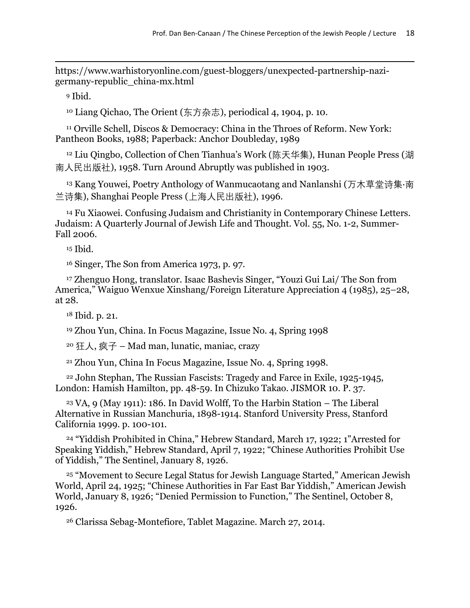https://www.warhistoryonline.com/guest-bloggers/unexpected-partnership-nazigermany-republic\_china-mx.html

<sup>9</sup> Ibid.

<sup>10</sup> Liang Qichao, The Orient (东方杂志), periodical 4, 1904, p. 10.

<sup>11</sup> Orville Schell, Discos & Democracy: China in the Throes of Reform. New York: Pantheon Books, 1988; Paperback: Anchor Doubleday, 1989

<sup>12</sup> Liu Qingbo, Collection of Chen Tianhua's Work (陈天华集), Hunan People Press (湖 南人民出版社), 1958. Turn Around Abruptly was published in 1903.

<sup>13</sup> Kang Youwei, Poetry Anthology of Wanmucaotang and Nanlanshi (万木草堂诗集·南 兰诗集), Shanghai People Press (上海人民出版社), 1996.

<sup>14</sup> Fu Xiaowei. Confusing Judaism and Christianity in Contemporary Chinese Letters. Judaism: A Quarterly Journal of Jewish Life and Thought. Vol. 55, No. 1-2, Summer-Fall 2006.

<sup>15</sup> Ibid.

<sup>16</sup> Singer, The Son from America 1973, p. 97.

<sup>17</sup> Zhenguo Hong, translator. Isaac Bashevis Singer, "Youzi Gui Lai/ The Son from America," Waiguo Wenxue Xinshang/Foreign Literature Appreciation 4 (1985), 25–28, at 28.

<sup>18</sup> Ibid. p. 21.

<sup>19</sup> Zhou Yun, China. In Focus Magazine, Issue No. 4, Spring 1998

<sup>20</sup> 狂人, 疯子 – Mad man, lunatic, maniac, crazy

<sup>21</sup> Zhou Yun, China In Focus Magazine, Issue No. 4, Spring 1998.

<sup>22</sup> John Stephan, The Russian Fascists: Tragedy and Farce in Exile, 1925-1945, London: Hamish Hamilton, pp. 48-59. In Chizuko Takao. JISMOR 10. P. 37.

 $23 \text{ VA}$ , 9 (May 1911): 186. In David Wolff, To the Harbin Station – The Liberal Alternative in Russian Manchuria, 1898-1914. Stanford University Press, Stanford California 1999. p. 100-101.

<sup>24</sup> "Yiddish Prohibited in China," Hebrew Standard, March 17, 1922; 1"Arrested for Speaking Yiddish," Hebrew Standard, April 7, 1922; "Chinese Authorities Prohibit Use of Yiddish," The Sentinel, January 8, 1926.

<sup>25</sup> "Movement to Secure Legal Status for Jewish Language Started," American Jewish World, April 24, 1925; "Chinese Authorities in Far East Bar Yiddish," American Jewish World, January 8, 1926; "Denied Permission to Function," The Sentinel, October 8, 1926.

<sup>26</sup> Clarissa Sebag-Montefiore, Tablet Magazine. March 27, 2014.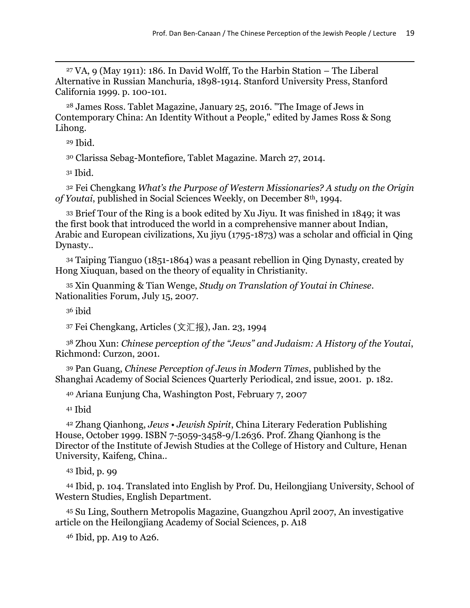<sup>27</sup> VA, 9 (May 1911): 186. In David Wolff, To the Harbin Station – The Liberal Alternative in Russian Manchuria, 1898-1914. Stanford University Press, Stanford California 1999. p. 100-101.

<sup>28</sup> James Ross. Tablet Magazine, January 25, 2016. "The Image of Jews in Contemporary China: An Identity Without a People," edited by James Ross & Song Lihong.

<sup>29</sup> Ibid.

<sup>30</sup> Clarissa Sebag-Montefiore, Tablet Magazine. March 27, 2014.

<sup>31</sup> Ibid.

<sup>32</sup> Fei Chengkang *What's the Purpose of Western Missionaries? A study on the Origin of Youtai*, published in Social Sciences Weekly, on December 8th, 1994.

<sup>33</sup> Brief Tour of the Ring is a book edited by Xu Jiyu. It was finished in 1849; it was the first book that introduced the world in a comprehensive manner about Indian, Arabic and European civilizations, Xu jiyu (1795-1873) was a scholar and official in Qing Dynasty..

<sup>34</sup> Taiping Tianguo (1851-1864) was a peasant rebellion in Qing Dynasty, created by Hong Xiuquan, based on the theory of equality in Christianity.

<sup>35</sup> Xin Quanming & Tian Wenge, *Study on Translation of Youtai in Chinese*. Nationalities Forum, July 15, 2007.

<sup>36</sup> ibid

<sup>37</sup> Fei Chengkang, Articles (文汇报), Jan. 23, 1994

<sup>38</sup> Zhou Xun: *Chinese perception of the "Jews" and Judaism: A History of the Youtai*, Richmond: Curzon, 2001.

<sup>39</sup> Pan Guang, *Chinese Perception of Jews in Modern Times*, published by the Shanghai Academy of Social Sciences Quarterly Periodical, 2nd issue, 2001. p. 182.

<sup>40</sup> Ariana Eunjung Cha, Washington Post, February 7, 2007

<sup>41</sup> Ibid

<sup>42</sup> Zhang Qianhong, *Jews • Jewish Spirit*, China Literary Federation Publishing House, October 1999. ISBN 7-5059-3458-9/I.2636. Prof. Zhang Qianhong is the Director of the Institute of Jewish Studies at the College of History and Culture, Henan University, Kaifeng, China..

<sup>43</sup> Ibid, p. 99

<sup>44</sup> Ibid, p. 104. Translated into English by Prof. Du, Heilongjiang University, School of Western Studies, English Department.

<sup>45</sup> Su Ling, Southern Metropolis Magazine, Guangzhou April 2007, An investigative article on the Heilongjiang Academy of Social Sciences, p. A18

<sup>46</sup> Ibid, pp. A19 to A26.